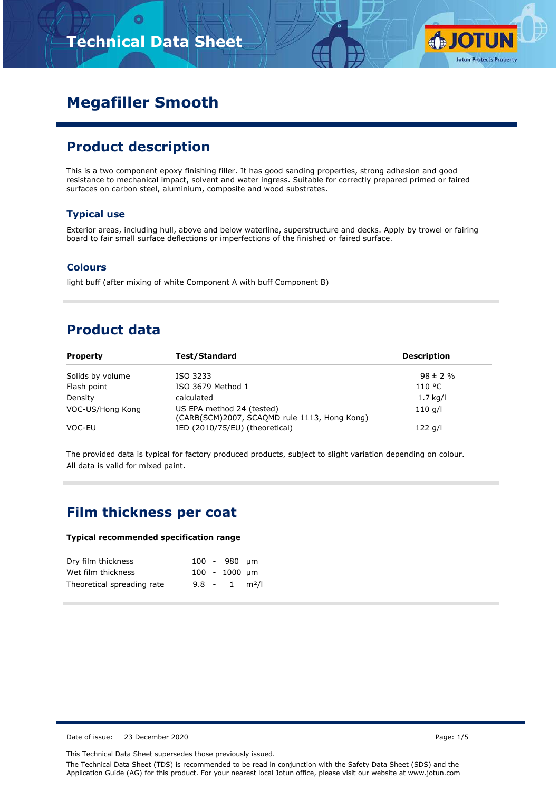# **Technical Data Sheet**



# **Megafiller Smooth**

### **Product description**

This is a two component epoxy finishing filler. It has good sanding properties, strong adhesion and good resistance to mechanical impact, solvent and water ingress. Suitable for correctly prepared primed or faired surfaces on carbon steel, aluminium, composite and wood substrates.

#### **Typical use**

Exterior areas, including hull, above and below waterline, superstructure and decks. Apply by trowel or fairing board to fair small surface deflections or imperfections of the finished or faired surface.

#### **Colours**

light buff (after mixing of white Component A with buff Component B)

## **Product data**

| <b>Property</b>  | <b>Test/Standard</b>                                                      | <b>Description</b> |
|------------------|---------------------------------------------------------------------------|--------------------|
| Solids by volume | ISO 3233                                                                  | $98 \pm 2 \%$      |
| Flash point      | ISO 3679 Method 1                                                         | 110 °C             |
| Density          | calculated                                                                | $1.7$ kg/l         |
| VOC-US/Hong Kong | US EPA method 24 (tested)<br>(CARB(SCM)2007, SCAQMD rule 1113, Hong Kong) | $110$ g/l          |
| VOC-EU           | IED (2010/75/EU) (theoretical)                                            | $122$ g/l          |

The provided data is typical for factory produced products, subject to slight variation depending on colour. All data is valid for mixed paint.

#### **Film thickness per coat**

#### **Typical recommended specification range**

| Dry film thickness         |  | $100 - 980$ um              |  |
|----------------------------|--|-----------------------------|--|
| Wet film thickness         |  | $100 - 1000$ µm             |  |
| Theoretical spreading rate |  | $9.8 - 1$ m <sup>2</sup> /l |  |

Date of issue: 23 December 2020 **Page: 1/5** 

This Technical Data Sheet supersedes those previously issued.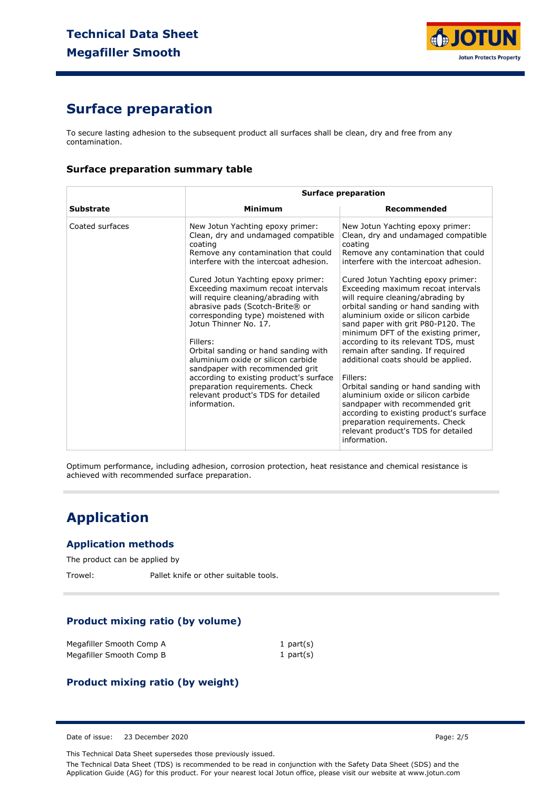

## **Surface preparation**

To secure lasting adhesion to the subsequent product all surfaces shall be clean, dry and free from any contamination.

#### **Surface preparation summary table**

|                  | <b>Surface preparation</b>                                                                                                                                                                                                                                                                                                                                                                                                                                                                                                                                                                                                                                 |                                                                                                                                                                                                                                                                                                                                                                                                                                                                                                                                                                                                                                                                                                                                                                                                                                      |  |
|------------------|------------------------------------------------------------------------------------------------------------------------------------------------------------------------------------------------------------------------------------------------------------------------------------------------------------------------------------------------------------------------------------------------------------------------------------------------------------------------------------------------------------------------------------------------------------------------------------------------------------------------------------------------------------|--------------------------------------------------------------------------------------------------------------------------------------------------------------------------------------------------------------------------------------------------------------------------------------------------------------------------------------------------------------------------------------------------------------------------------------------------------------------------------------------------------------------------------------------------------------------------------------------------------------------------------------------------------------------------------------------------------------------------------------------------------------------------------------------------------------------------------------|--|
| <b>Substrate</b> | Minimum                                                                                                                                                                                                                                                                                                                                                                                                                                                                                                                                                                                                                                                    | Recommended                                                                                                                                                                                                                                                                                                                                                                                                                                                                                                                                                                                                                                                                                                                                                                                                                          |  |
| Coated surfaces  | New Jotun Yachting epoxy primer:<br>Clean, dry and undamaged compatible<br>coating<br>Remove any contamination that could<br>interfere with the intercoat adhesion.<br>Cured Jotun Yachting epoxy primer:<br>Exceeding maximum recoat intervals<br>will require cleaning/abrading with<br>abrasive pads (Scotch-Brite® or<br>corresponding type) moistened with<br>Jotun Thinner No. 17.<br>Fillers:<br>Orbital sanding or hand sanding with<br>aluminium oxide or silicon carbide<br>sandpaper with recommended grit<br>according to existing product's surface<br>preparation requirements. Check<br>relevant product's TDS for detailed<br>information. | New Jotun Yachting epoxy primer:<br>Clean, dry and undamaged compatible<br>coating<br>Remove any contamination that could<br>interfere with the intercoat adhesion.<br>Cured Jotun Yachting epoxy primer:<br>Exceeding maximum recoat intervals<br>will require cleaning/abrading by<br>orbital sanding or hand sanding with<br>aluminium oxide or silicon carbide<br>sand paper with grit P80-P120. The<br>minimum DFT of the existing primer,<br>according to its relevant TDS, must<br>remain after sanding. If required<br>additional coats should be applied.<br>Fillers:<br>Orbital sanding or hand sanding with<br>aluminium oxide or silicon carbide<br>sandpaper with recommended grit<br>according to existing product's surface<br>preparation requirements. Check<br>relevant product's TDS for detailed<br>information. |  |

Optimum performance, including adhesion, corrosion protection, heat resistance and chemical resistance is achieved with recommended surface preparation.

## **Application**

#### **Application methods**

The product can be applied by

Trowel: Pallet knife or other suitable tools.

#### **Product mixing ratio (by volume)**

| Megafiller Smooth Comp A | 1 part $(s)$ |
|--------------------------|--------------|
| Megafiller Smooth Comp B | 1 part $(s)$ |

#### **Product mixing ratio (by weight)**

Date of issue: 23 December 2020 **Page: 2/5** 

This Technical Data Sheet supersedes those previously issued.

The Technical Data Sheet (TDS) is recommended to be read in conjunction with the Safety Data Sheet (SDS) and the Application Guide (AG) for this product. For your nearest local Jotun office, please visit our website at www.jotun.com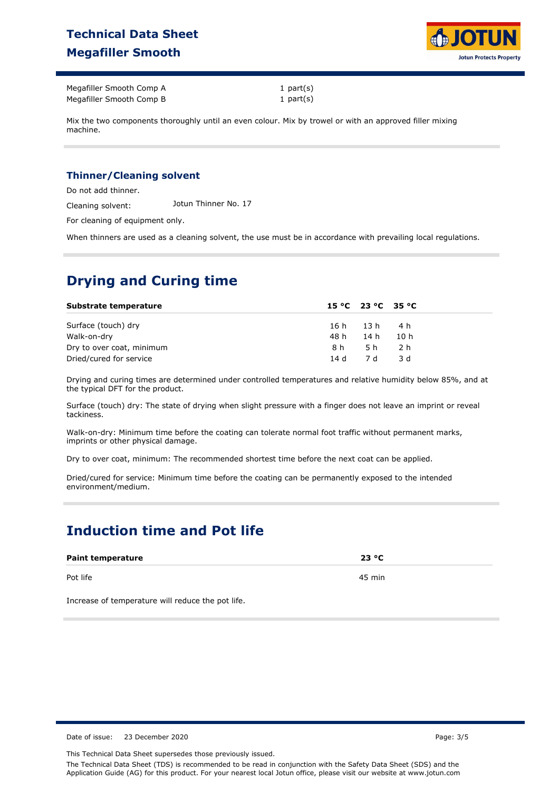# **Technical Data Sheet Megafiller Smooth**



Megafiller Smooth Comp A Megafiller Smooth Comp B 1 part(s) 1 part(s)

Mix the two components thoroughly until an even colour. Mix by trowel or with an approved filler mixing machine.

#### **Thinner/Cleaning solvent**

Do not add thinner.

Cleaning solvent: Jotun Thinner No. 17

For cleaning of equipment only.

When thinners are used as a cleaning solvent, the use must be in accordance with prevailing local regulations.

# **Drying and Curing time**

| Substrate temperature     | $15 °C$ $23 °C$ $35 °C$ |
|---------------------------|-------------------------|
| Surface (touch) dry       | 16h 13h 4h              |
| Walk-on-dry               | 14 h<br>48 h<br>10 h    |
| Dry to over coat, minimum | 5 h<br>8 h<br>- 2 h     |
| Dried/cured for service   | 14 d 7 d<br>-3 d        |

Drying and curing times are determined under controlled temperatures and relative humidity below 85%, and at the typical DFT for the product.

Surface (touch) dry: The state of drying when slight pressure with a finger does not leave an imprint or reveal tackiness.

Walk-on-dry: Minimum time before the coating can tolerate normal foot traffic without permanent marks, imprints or other physical damage.

Dry to over coat, minimum: The recommended shortest time before the next coat can be applied.

Dried/cured for service: Minimum time before the coating can be permanently exposed to the intended environment/medium.

# **Induction time and Pot life**

| <b>Paint temperature</b> | 23 °C  |
|--------------------------|--------|
| Pot life                 | 45 min |

Increase of temperature will reduce the pot life.

Date of issue: 23 December 2020 **Page: 3/5** 

This Technical Data Sheet supersedes those previously issued. The Technical Data Sheet (TDS) is recommended to be read in conjunction with the Safety Data Sheet (SDS) and the Application Guide (AG) for this product. For your nearest local Jotun office, please visit our website at www.jotun.com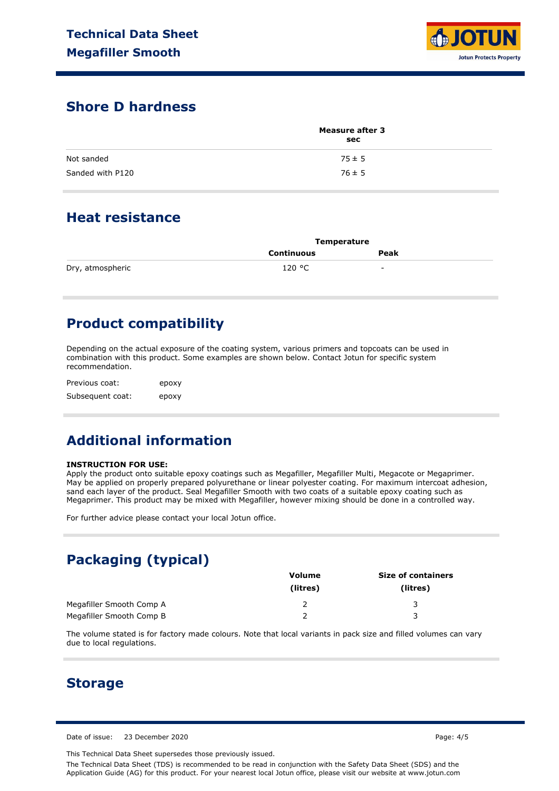

### **Shore D hardness**

|                  | <b>Measure after 3</b><br>sec |  |
|------------------|-------------------------------|--|
| Not sanded       | $75 \pm 5$                    |  |
| Sanded with P120 | $76 \pm 5$                    |  |

### **Heat resistance**

|                  | <b>Temperature</b> |      |  |
|------------------|--------------------|------|--|
|                  | Continuous         | Peak |  |
| Dry, atmospheric | 120 °C             | -    |  |

# **Product compatibility**

Depending on the actual exposure of the coating system, various primers and topcoats can be used in combination with this product. Some examples are shown below. Contact Jotun for specific system recommendation.

Previous coat: Subsequent coat: epoxy epoxy

# **Additional information**

#### **INSTRUCTION FOR USE:**

Apply the product onto suitable epoxy coatings such as Megafiller, Megafiller Multi, Megacote or Megaprimer. May be applied on properly prepared polyurethane or linear polyester coating. For maximum intercoat adhesion, sand each layer of the product. Seal Megafiller Smooth with two coats of a suitable epoxy coating such as Megaprimer. This product may be mixed with Megafiller, however mixing should be done in a controlled way.

For further advice please contact your local Jotun office.

# **Packaging (typical)**

|                          | Volume   | <b>Size of containers</b> |  |
|--------------------------|----------|---------------------------|--|
|                          | (litres) | (litres)                  |  |
| Megafiller Smooth Comp A |          |                           |  |
| Megafiller Smooth Comp B |          |                           |  |

The volume stated is for factory made colours. Note that local variants in pack size and filled volumes can vary due to local regulations.

#### **Storage**

Date of issue: 23 December 2020 **Page: 4/5** 

This Technical Data Sheet supersedes those previously issued.

The Technical Data Sheet (TDS) is recommended to be read in conjunction with the Safety Data Sheet (SDS) and the Application Guide (AG) for this product. For your nearest local Jotun office, please visit our website at www.jotun.com